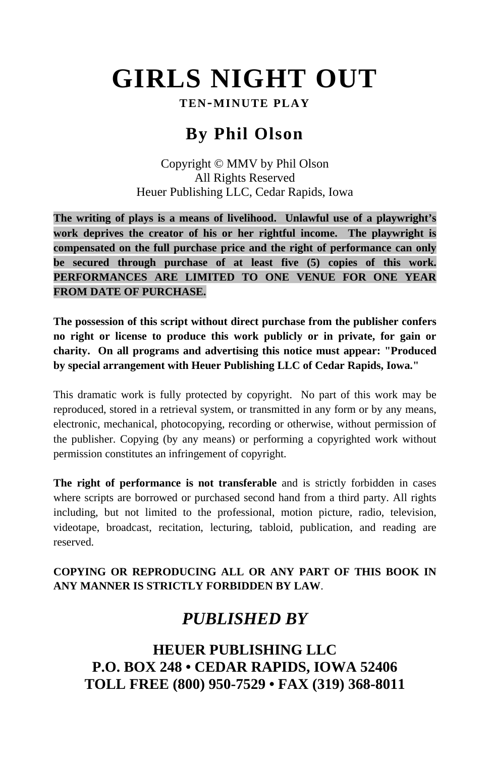# **GIRLS NIGHT OUT**

## **TEN-MINUTE PLAY**

# **By Phil Olson**

Copyright © MMV by Phil Olson All Rights Reserved Heuer Publishing LLC, Cedar Rapids, Iowa

**The writing of plays is a means of livelihood. Unlawful use of a playwright's work deprives the creator of his or her rightful income. The playwright is compensated on the full purchase price and the right of performance can only be secured through purchase of at least five (5) copies of this work. PERFORMANCES ARE LIMITED TO ONE VENUE FOR ONE YEAR FROM DATE OF PURCHASE.**

**The possession of this script without direct purchase from the publisher confers no right or license to produce this work publicly or in private, for gain or charity. On all programs and advertising this notice must appear: "Produced by special arrangement with Heuer Publishing LLC of Cedar Rapids, Iowa."**

This dramatic work is fully protected by copyright. No part of this work may be reproduced, stored in a retrieval system, or transmitted in any form or by any means, electronic, mechanical, photocopying, recording or otherwise, without permission of the publisher. Copying (by any means) or performing a copyrighted work without permission constitutes an infringement of copyright.

**The right of performance is not transferable** and is strictly forbidden in cases where scripts are borrowed or purchased second hand from a third party. All rights including, but not limited to the professional, motion picture, radio, television, videotape, broadcast, recitation, lecturing, tabloid, publication, and reading are reserved.

## **COPYING OR REPRODUCING ALL OR ANY PART OF THIS BOOK IN ANY MANNER IS STRICTLY FORBIDDEN BY LAW**.

# *PUBLISHED BY*

**HEUER PUBLISHING LLC P.O. BOX 248 • CEDAR RAPIDS, IOWA 52406 TOLL FREE (800) 950-7529 • FAX (319) 368-8011**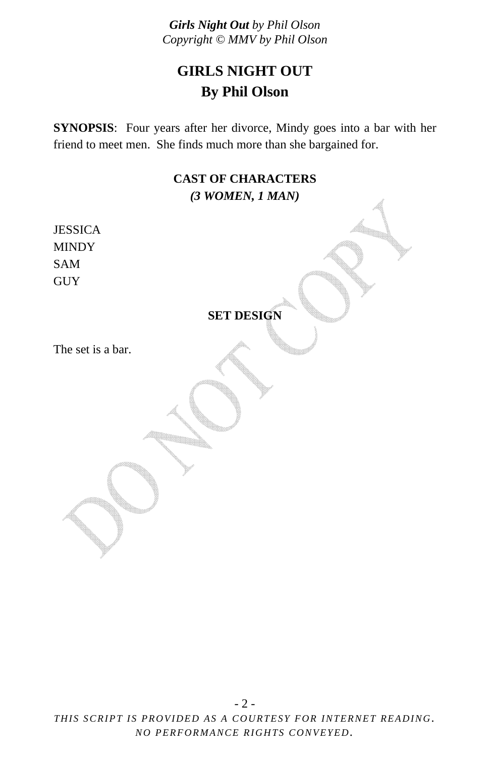# **GIRLS NIGHT OUT By Phil Olson**

**SYNOPSIS**: Four years after her divorce, Mindy goes into a bar with her friend to meet men. She finds much more than she bargained for.

## **CAST OF CHARACTERS**  *(3 WOMEN, 1 MAN)*

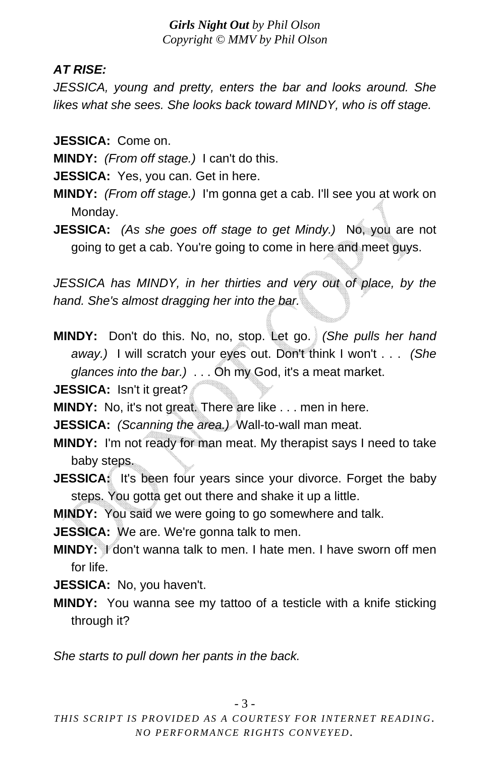# *AT RISE:*

*JESSICA, young and pretty, enters the bar and looks around. She likes what she sees. She looks back toward MINDY, who is off stage.* 

**JESSICA:** Come on.

**MINDY:** *(From off stage.)* I can't do this.

**JESSICA:** Yes, you can. Get in here.

- **MINDY:** *(From off stage.)* I'm gonna get a cab. I'll see you at work on Monday.
- **JESSICA:** *(As she goes off stage to get Mindy.)* No, you are not going to get a cab. You're going to come in here and meet guys.

*JESSICA has MINDY, in her thirties and very out of place, by the hand. She's almost dragging her into the bar.* 

**MINDY:** Don't do this. No, no, stop. Let go. *(She pulls her hand away.)* I will scratch your eyes out. Don't think I won't . . . *(She glances into the bar.)* . . . Oh my God, it's a meat market.

**JESSICA:** Isn't it great?

**MINDY:** No, it's not great. There are like . . . men in here.

**JESSICA:** *(Scanning the area.)* Wall-to-wall man meat.

- **MINDY:** I'm not ready for man meat. My therapist says I need to take baby steps.
- **JESSICA:** It's been four years since your divorce. Forget the baby steps. You gotta get out there and shake it up a little.

**MINDY:** You said we were going to go somewhere and talk.

**JESSICA:** We are. We're gonna talk to men.

**MINDY:** I don't wanna talk to men. I hate men. I have sworn off men for life.

**JESSICA:** No, you haven't.

**MINDY:** You wanna see my tattoo of a testicle with a knife sticking through it?

*She starts to pull down her pants in the back.*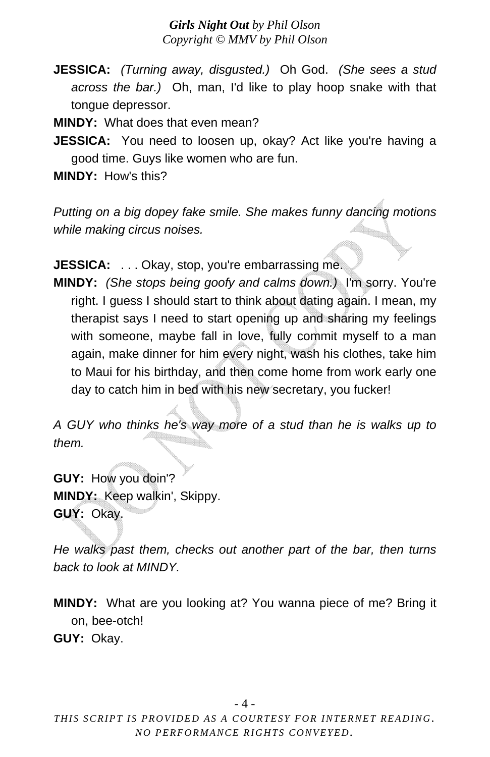**JESSICA:** *(Turning away, disgusted.)* Oh God. *(She sees a stud across the bar.)* Oh, man, I'd like to play hoop snake with that tongue depressor.

**MINDY:** What does that even mean?

**JESSICA:** You need to loosen up, okay? Act like you're having a good time. Guys like women who are fun.

**MINDY:** How's this?

*Putting on a big dopey fake smile. She makes funny dancing motions while making circus noises.*

**JESSICA:** ... Okay, stop, you're embarrassing me.

**MINDY:** *(She stops being goofy and calms down.)* I'm sorry. You're right. I guess I should start to think about dating again. I mean, my therapist says I need to start opening up and sharing my feelings with someone, maybe fall in love, fully commit myself to a man again, make dinner for him every night, wash his clothes, take him to Maui for his birthday, and then come home from work early one day to catch him in bed with his new secretary, you fucker!

*A GUY who thinks he's way more of a stud than he is walks up to them.* 

**GUY:** How you doin'? **MINDY:** Keep walkin', Skippy. **GUY:** Okay.

*He walks past them, checks out another part of the bar, then turns back to look at MINDY.* 

**MINDY:** What are you looking at? You wanna piece of me? Bring it on, bee-otch!

**GUY:** Okay.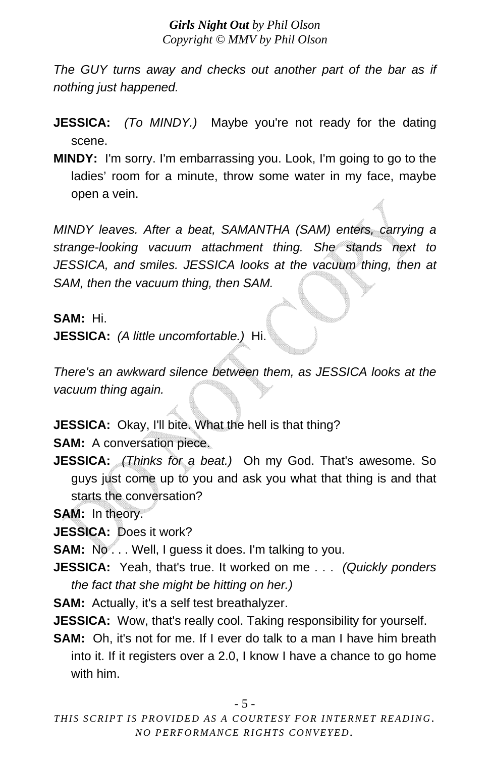*The GUY turns away and checks out another part of the bar as if nothing just happened.* 

- **JESSICA:** *(To MINDY.)* Maybe you're not ready for the dating scene.
- **MINDY:** I'm sorry. I'm embarrassing you. Look, I'm going to go to the ladies' room for a minute, throw some water in my face, maybe open a vein.

*MINDY leaves. After a beat, SAMANTHA (SAM) enters, carrying a strange-looking vacuum attachment thing. She stands next to JESSICA, and smiles. JESSICA looks at the vacuum thing, then at SAM, then the vacuum thing, then SAM.* 

**SAM:** Hi.

**JESSICA:** *(A little uncomfortable.)* Hi.

*There's an awkward silence between them, as JESSICA looks at the vacuum thing again.* 

**JESSICA:** Okay, I'll bite. What the hell is that thing?

**SAM:** A conversation piece.

**JESSICA:** *(Thinks for a beat.)* Oh my God. That's awesome. So guys just come up to you and ask you what that thing is and that starts the conversation?

**SAM:** In theory.

**JESSICA:** Does it work?

**SAM:** No... Well, I guess it does. I'm talking to you.

**JESSICA:** Yeah, that's true. It worked on me . . . *(Quickly ponders the fact that she might be hitting on her.)*

**SAM:** Actually, it's a self test breathalyzer.

**JESSICA:** Wow, that's really cool. Taking responsibility for yourself.

**SAM:** Oh, it's not for me. If I ever do talk to a man I have him breath into it. If it registers over a 2.0, I know I have a chance to go home with him.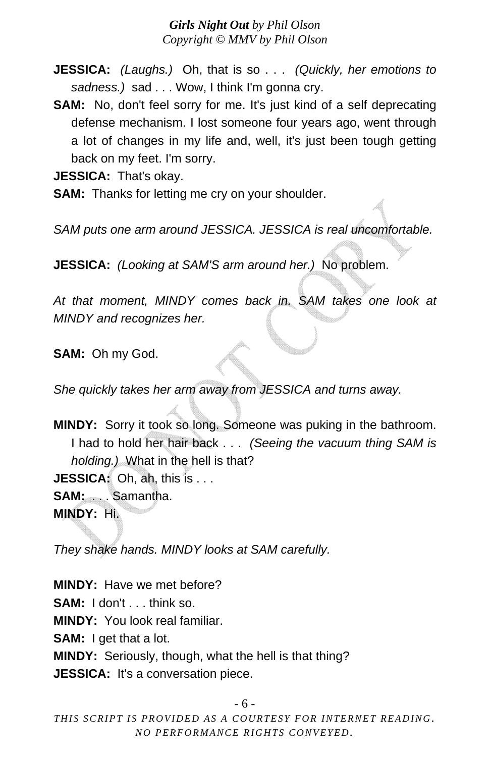- **JESSICA:** *(Laughs.)* Oh, that is so . . . *(Quickly, her emotions to sadness.)* sad . . . Wow, I think I'm gonna cry.
- **SAM:** No, don't feel sorry for me. It's just kind of a self deprecating defense mechanism. I lost someone four years ago, went through a lot of changes in my life and, well, it's just been tough getting back on my feet. I'm sorry.

**JESSICA:** That's okay.

**SAM:** Thanks for letting me cry on your shoulder.

*SAM puts one arm around JESSICA. JESSICA is real uncomfortable.* 

**JESSICA:** *(Looking at SAM'S arm around her.)* No problem.

*At that moment, MINDY comes back in. SAM takes one look at MINDY and recognizes her.* 

**SAM:** Oh my God.

*She quickly takes her arm away from JESSICA and turns away.* 

**MINDY:** Sorry it took so long. Someone was puking in the bathroom. I had to hold her hair back . . . *(Seeing the vacuum thing SAM is holding.)* What in the hell is that? **JESSICA:** Oh, ah, this is . . . **SAM:** . . . Samantha.

**MINDY:** Hi.

*They shake hands. MINDY looks at SAM carefully.* 

**MINDY:** Have we met before? **SAM:** I don't . . . think so. **MINDY:** You look real familiar. **SAM:** I get that a lot. **MINDY:** Seriously, though, what the hell is that thing? **JESSICA:** It's a conversation piece.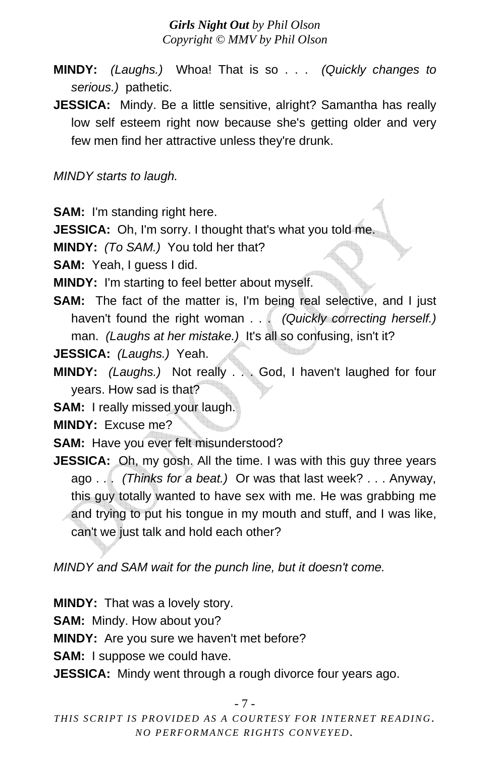- **MINDY:** *(Laughs.)* Whoa! That is so . . . *(Quickly changes to serious.)* pathetic.
- **JESSICA:** Mindy. Be a little sensitive, alright? Samantha has really low self esteem right now because she's getting older and very few men find her attractive unless they're drunk.

*MINDY starts to laugh.* 

**SAM:** I'm standing right here.

**JESSICA:** Oh, I'm sorry. I thought that's what you told me.

**MINDY:** *(To SAM.)* You told her that?

**SAM:** Yeah, I guess I did.

**MINDY:** I'm starting to feel better about myself.

**SAM:** The fact of the matter is, I'm being real selective, and I just haven't found the right woman . . . *(Quickly correcting herself.)* man. *(Laughs at her mistake.)* It's all so confusing, isn't it?

**JESSICA:** *(Laughs.)* Yeah.

**MINDY:** *(Laughs.)* Not really . . . God, I haven't laughed for four years. How sad is that?

**SAM:** I really missed your laugh.

**MINDY:** Excuse me?

**SAM:** Have you ever felt misunderstood?

**JESSICA:** Oh, my gosh. All the time. I was with this guy three years ago . . . *(Thinks for a beat.)* Or was that last week? . . . Anyway, this guy totally wanted to have sex with me. He was grabbing me and trying to put his tongue in my mouth and stuff, and I was like, can't we just talk and hold each other?

*MINDY and SAM wait for the punch line, but it doesn't come.* 

**MINDY:** That was a lovely story.

**SAM:** Mindy. How about you?

**MINDY:** Are you sure we haven't met before?

**SAM:** I suppose we could have.

**JESSICA:** Mindy went through a rough divorce four years ago.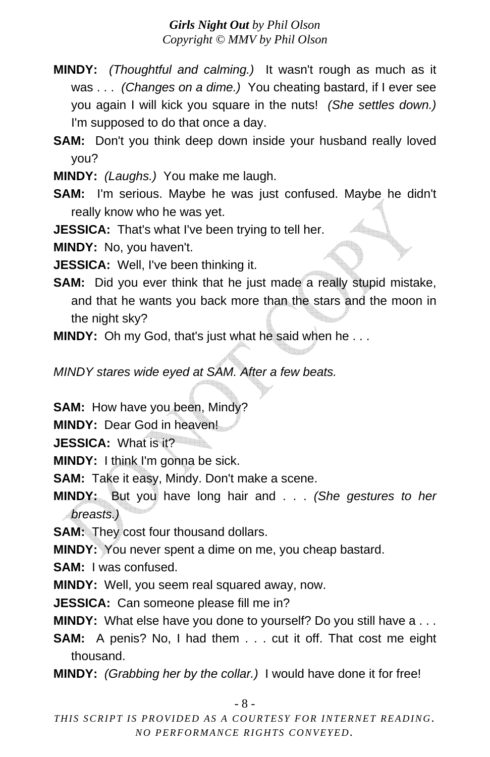**MINDY:** *(Thoughtful and calming.)* It wasn't rough as much as it was . . . *(Changes on a dime.)* You cheating bastard, if I ever see you again I will kick you square in the nuts! *(She settles down.)* I'm supposed to do that once a day.

**SAM:** Don't you think deep down inside your husband really loved you?

**MINDY:** *(Laughs.)* You make me laugh.

**SAM:** I'm serious. Maybe he was just confused. Maybe he didn't really know who he was yet.

**JESSICA:** That's what I've been trying to tell her.

**MINDY:** No, you haven't.

**JESSICA:** Well, I've been thinking it.

**SAM:** Did you ever think that he just made a really stupid mistake, and that he wants you back more than the stars and the moon in the night sky?

**MINDY:** Oh my God, that's just what he said when he . . .

*MINDY stares wide eyed at SAM. After a few beats.* 

**SAM:** How have you been, Mindy?

**MINDY:** Dear God in heaven!

**JESSICA:** What is it?

**MINDY:** I think I'm gonna be sick.

**SAM:** Take it easy, Mindy. Don't make a scene.

**MINDY:** But you have long hair and . . . *(She gestures to her breasts.)*

**SAM:** They cost four thousand dollars.

**MINDY:** You never spent a dime on me, you cheap bastard.

**SAM:** I was confused.

**MINDY:** Well, you seem real squared away, now.

**JESSICA:** Can someone please fill me in?

**MINDY:** What else have you done to yourself? Do you still have a . . .

**SAM:** A penis? No, I had them . . . cut it off. That cost me eight thousand.

**MINDY:** *(Grabbing her by the collar.)* I would have done it for free!

- 8 -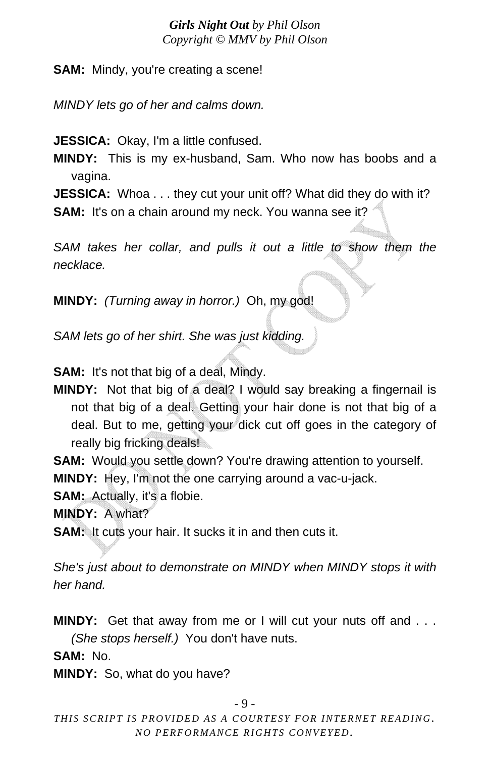**SAM:** Mindy, you're creating a scene!

*MINDY lets go of her and calms down.* 

**JESSICA:** Okay, I'm a little confused.

**MINDY:** This is my ex-husband, Sam. Who now has boobs and a vagina.

**JESSICA:** Whoa . . . they cut your unit off? What did they do with it? **SAM:** It's on a chain around my neck. You wanna see it?

SAM takes her collar, and pulls it out a little to show them the *necklace.* 

**MINDY:** *(Turning away in horror.)* Oh, my god!

*SAM lets go of her shirt. She was just kidding.* 

**SAM:** It's not that big of a deal, Mindy.

**MINDY:** Not that big of a deal? I would say breaking a fingernail is not that big of a deal. Getting your hair done is not that big of a deal. But to me, getting your dick cut off goes in the category of really big fricking deals!

**SAM:** Would you settle down? You're drawing attention to yourself.

**MINDY:** Hey, I'm not the one carrying around a vac-u-jack.

**SAM:** Actually, it's a flobie.

**MINDY:** A what?

**SAM:** It cuts your hair. It sucks it in and then cuts it.

*She's just about to demonstrate on MINDY when MINDY stops it with her hand.* 

**MINDY:** Get that away from me or I will cut your nuts off and . . . *(She stops herself.)* You don't have nuts.

**SAM:** No.

**MINDY:** So, what do you have?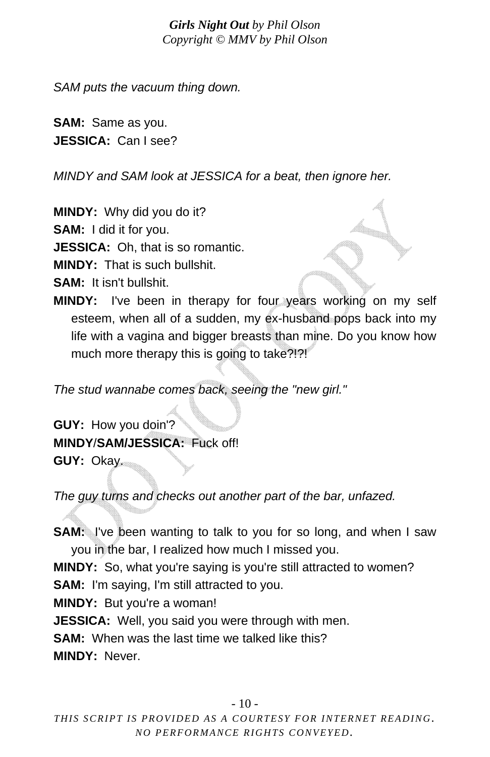*SAM puts the vacuum thing down.* 

**SAM:** Same as you. **JESSICA:** Can I see?

*MINDY and SAM look at JESSICA for a beat, then ignore her.* 

**MINDY:** Why did you do it?

**SAM:** I did it for you.

**JESSICA:** Oh, that is so romantic.

**MINDY:** That is such bullshit.

- **SAM:** It isn't bullshit.
- **MINDY:** I've been in therapy for four years working on my self esteem, when all of a sudden, my ex-husband pops back into my life with a vagina and bigger breasts than mine. Do you know how much more therapy this is going to take?!?!

*The stud wannabe comes back, seeing the "new girl."* 

**GUY:** How you doin'? **MINDY**/**SAM/JESSICA:** Fuck off! **GUY:** Okay.

*The guy turns and checks out another part of the bar, unfazed.* 

**SAM:** I've been wanting to talk to you for so long, and when I saw you in the bar, I realized how much I missed you.

**MINDY:** So, what you're saying is you're still attracted to women?

**SAM:** I'm saying, I'm still attracted to you.

**MINDY:** But you're a woman!

**JESSICA:** Well, you said you were through with men.

**SAM:** When was the last time we talked like this?

**MINDY:** Never.